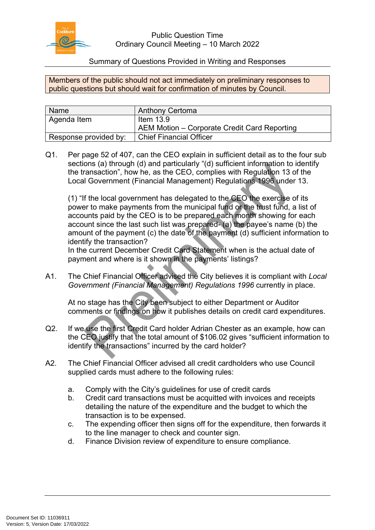

## Public Question Time Ordinary Council Meeting – 10 March 2022

## Summary of Questions Provided in Writing and Responses

Members of the public should not act immediately on preliminary responses to public questions but should wait for confirmation of minutes by Council.

| <b>Name</b>           | <b>Anthony Certoma</b>                       |
|-----------------------|----------------------------------------------|
| Agenda Item           | Item $13.9$                                  |
|                       | AEM Motion – Corporate Credit Card Reporting |
| Response provided by: | Chief Financial Officer                      |

Q1. Per page 52 of 407, can the CEO explain in sufficient detail as to the four sub sections (a) through (d) and particularly "(d) sufficient information to identify the transaction", how he, as the CEO, complies with Regulation 13 of the Local Government (Financial Management) Regulations 1996 under 13.

(1) "If the local government has delegated to the CEO the exercise of its power to make payments from the municipal fund or the trust fund, a list of accounts paid by the CEO is to be prepared each month showing for each account since the last such list was prepared- (a) the payee's name (b) the amount of the payment (c) the date of the payment (d) sufficient information to identify the transaction?

In the current December Credit Card Statement when is the actual date of payment and where is it shown in the payments' listings?

A1. The Chief Financial Officer advised the City believes it is compliant with *Local Government (Financial Management) Regulations 1996* currently in place.

At no stage has the City been subject to either Department or Auditor comments or findings on how it publishes details on credit card expenditures.

- Q2. If we use the first Credit Card holder Adrian Chester as an example, how can the CEO justify that the total amount of \$106.02 gives "sufficient information to identify the transactions" incurred by the card holder?
- A2. The Chief Financial Officer advised all credit cardholders who use Council supplied cards must adhere to the following rules:
	- a. Comply with the City's guidelines for use of credit cards
	- b. Credit card transactions must be acquitted with invoices and receipts detailing the nature of the expenditure and the budget to which the transaction is to be expensed.
	- c. The expending officer then signs off for the expenditure, then forwards it to the line manager to check and counter sign.
	- d. Finance Division review of expenditure to ensure compliance.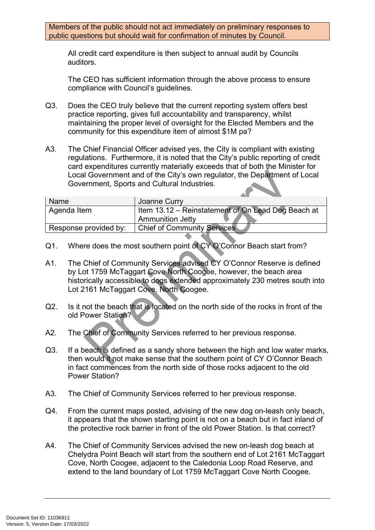All credit card expenditure is then subject to annual audit by Councils auditors.

The CEO has sufficient information through the above process to ensure compliance with Council's guidelines.

- Q3. Does the CEO truly believe that the current reporting system offers best practice reporting, gives full accountability and transparency, whilst maintaining the proper level of oversight for the Elected Members and the community for this expenditure item of almost \$1M pa?
- A3. The Chief Financial Officer advised yes, the City is compliant with existing regulations. Furthermore, it is noted that the City's public reporting of credit card expenditures currently materially exceeds that of both the Minister for Local Government and of the City's own regulator, the Department of Local Government, Sports and Cultural Industries.

| <b>Name</b>           | Joanne Curry                                                           |
|-----------------------|------------------------------------------------------------------------|
| Agenda Item           | Item 13.12 – Reinstatement of On Lead Dog Beach at<br>Ammunition Jetty |
| Response provided by: | <b>Chief of Community Services</b>                                     |
|                       |                                                                        |

- Q1. Where does the most southern point of CY O'Connor Beach start from?
- A1. The Chief of Community Services advised CY O'Connor Reserve is defined by Lot 1759 McTaggart Cove North Coogee, however, the beach area historically accessible to dogs extended approximately 230 metres south into Lot 2161 McTaggart Cove, North Coogee.
- Q2. Is it not the beach that is located on the north side of the rocks in front of the old Power Station?
- A2. The Chief of Community Services referred to her previous response.
- Q3. If a beach is defined as a sandy shore between the high and low water marks, then would it not make sense that the southern point of CY O'Connor Beach in fact commences from the north side of those rocks adjacent to the old Power Station?
- A3. The Chief of Community Services referred to her previous response.
- Q4. From the current maps posted, advising of the new dog on-leash only beach, it appears that the shown starting point is not on a beach but in fact inland of the protective rock barrier in front of the old Power Station. Is that correct?
- A4. The Chief of Community Services advised the new on-leash dog beach at Chelydra Point Beach will start from the southern end of Lot 2161 McTaggart Cove, North Coogee, adjacent to the Caledonia Loop Road Reserve, and extend to the land boundary of Lot 1759 McTaggart Cove North Coogee.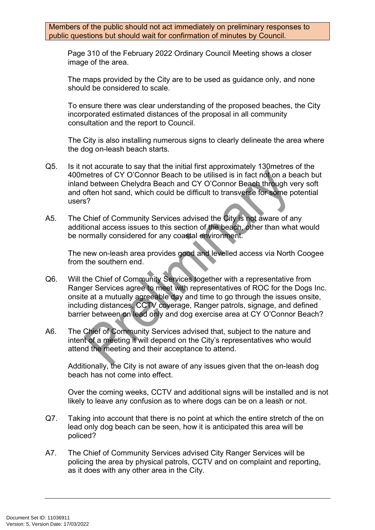Page 310 of the February 2022 Ordinary Council Meeting shows a closer image of the area.

The maps provided by the City are to be used as guidance only, and none should be considered to scale.

To ensure there was clear understanding of the proposed beaches, the City incorporated estimated distances of the proposal in all community consultation and the report to Council.

The City is also installing numerous signs to clearly delineate the area where the dog on-leash beach starts.

- Q5. Is it not accurate to say that the initial first approximately 130metres of the 400metres of CY O'Connor Beach to be utilised is in fact not on a beach but inland between Chelydra Beach and CY O'Connor Beach through very soft and often hot sand, which could be difficult to transverse for some potential users?
- A5. The Chief of Community Services advised the City is not aware of any additional access issues to this section of the beach, other than what would be normally considered for any coastal environment.

The new on-leash area provides good and levelled access via North Coogee from the southern end.

- Q6. Will the Chief of Community Services together with a representative from Ranger Services agree to meet with representatives of ROC for the Dogs Inc. onsite at a mutually agreeable day and time to go through the issues onsite, including distances, CCTV coverage, Ranger patrols, signage, and defined barrier between on lead only and dog exercise area at CY O'Connor Beach?
- A6. The Chief of Community Services advised that, subject to the nature and intent of a meeting it will depend on the City's representatives who would attend the meeting and their acceptance to attend.

Additionally, the City is not aware of any issues given that the on-leash dog beach has not come into effect.

Over the coming weeks, CCTV and additional signs will be installed and is not likely to leave any confusion as to where dogs can be on a leash or not.

- Q7. Taking into account that there is no point at which the entire stretch of the on lead only dog beach can be seen, how it is anticipated this area will be policed?
- A7. The Chief of Community Services advised City Ranger Services will be policing the area by physical patrols, CCTV and on complaint and reporting, as it does with any other area in the City.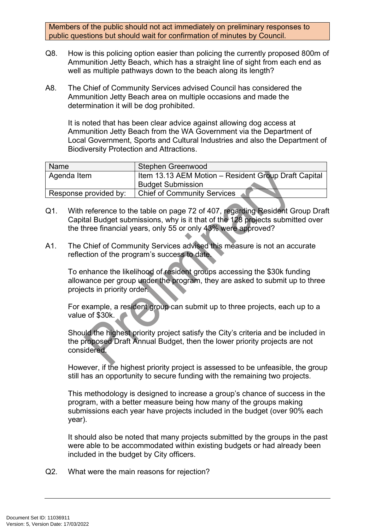- Q8. How is this policing option easier than policing the currently proposed 800m of Ammunition Jetty Beach, which has a straight line of sight from each end as well as multiple pathways down to the beach along its length?
- A8. The Chief of Community Services advised Council has considered the Ammunition Jetty Beach area on multiple occasions and made the determination it will be dog prohibited.

It is noted that has been clear advice against allowing dog access at Ammunition Jetty Beach from the WA Government via the Department of Local Government, Sports and Cultural Industries and also the Department of Biodiversity Protection and Attractions.

| Name                  | Stephen Greenwood                                    |
|-----------------------|------------------------------------------------------|
| Agenda Item           | Item 13.13 AEM Motion - Resident Group Draft Capital |
|                       | <b>Budget Submission</b>                             |
| Response provided by: | <b>Chief of Community Services</b>                   |

- Q1. With reference to the table on page 72 of 407, regarding Resident Group Draft Capital Budget submissions, why is it that of the 128 projects submitted over the three financial years, only 55 or only 43% were approved?
- A1. The Chief of Community Services advised this measure is not an accurate reflection of the program's success to date.

To enhance the likelihood of resident groups accessing the \$30k funding allowance per group under the program, they are asked to submit up to three projects in priority order.

For example, a resident group can submit up to three projects, each up to a value of \$30k.

Should the highest priority project satisfy the City's criteria and be included in the proposed Draft Annual Budget, then the lower priority projects are not considered.

However, if the highest priority project is assessed to be unfeasible, the group still has an opportunity to secure funding with the remaining two projects.

This methodology is designed to increase a group's chance of success in the program, with a better measure being how many of the groups making submissions each year have projects included in the budget (over 90% each year).

It should also be noted that many projects submitted by the groups in the past were able to be accommodated within existing budgets or had already been included in the budget by City officers.

Q2. What were the main reasons for rejection?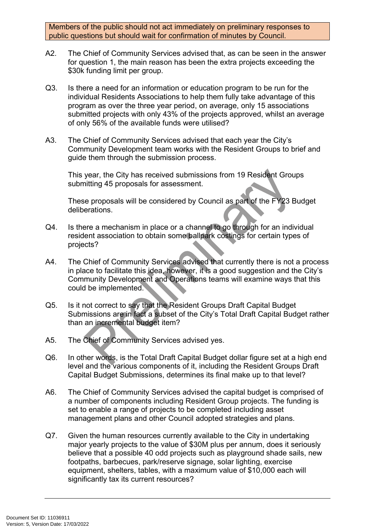- A2. The Chief of Community Services advised that, as can be seen in the answer for question 1, the main reason has been the extra projects exceeding the \$30k funding limit per group.
- Q3. Is there a need for an information or education program to be run for the individual Residents Associations to help them fully take advantage of this program as over the three year period, on average, only 15 associations submitted projects with only 43% of the projects approved, whilst an average of only 56% of the available funds were utilised?
- A3. The Chief of Community Services advised that each year the City's Community Development team works with the Resident Groups to brief and guide them through the submission process.

This year, the City has received submissions from 19 Resident Groups submitting 45 proposals for assessment.

These proposals will be considered by Council as part of the FY23 Budget deliberations.

- Q4. Is there a mechanism in place or a channel to go through for an individual resident association to obtain some ballpark costings for certain types of projects?
- A4. The Chief of Community Services advised that currently there is not a process in place to facilitate this idea, however, it is a good suggestion and the City's Community Development and Operations teams will examine ways that this could be implemented.
- Q5. Is it not correct to say that the Resident Groups Draft Capital Budget Submissions are in fact a subset of the City's Total Draft Capital Budget rather than an incremental budget item?
- A5. The Chief of Community Services advised yes.
- Q6. In other words, is the Total Draft Capital Budget dollar figure set at a high end level and the various components of it, including the Resident Groups Draft Capital Budget Submissions, determines its final make up to that level?
- A6. The Chief of Community Services advised the capital budget is comprised of a number of components including Resident Group projects. The funding is set to enable a range of projects to be completed including asset management plans and other Council adopted strategies and plans.
- Q7. Given the human resources currently available to the City in undertaking major yearly projects to the value of \$30M plus per annum, does it seriously believe that a possible 40 odd projects such as playground shade sails, new footpaths, barbecues, park/reserve signage, solar lighting, exercise equipment, shelters, tables, with a maximum value of \$10,000 each will significantly tax its current resources?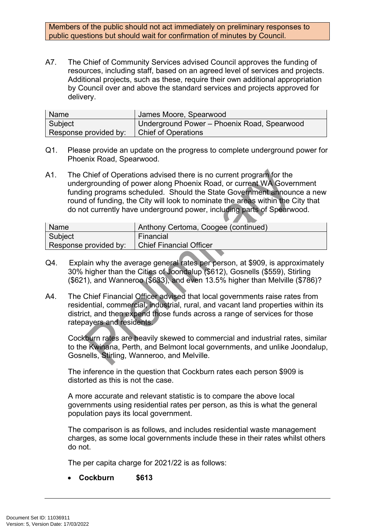A7. The Chief of Community Services advised Council approves the funding of resources, including staff, based on an agreed level of services and projects. Additional projects, such as these, require their own additional appropriation by Council over and above the standard services and projects approved for delivery.

| l Name                                      | James Moore, Spearwood                      |
|---------------------------------------------|---------------------------------------------|
| Subject                                     | Underground Power - Phoenix Road, Spearwood |
| Response provided by:   Chief of Operations |                                             |

- Q1. Please provide an update on the progress to complete underground power for Phoenix Road, Spearwood.
- A1. The Chief of Operations advised there is no current program for the undergrounding of power along Phoenix Road, or current WA Government funding programs scheduled. Should the State Government announce a new round of funding, the City will look to nominate the areas within the City that do not currently have underground power, including parts of Spearwood.

| Name                  | Anthony Certoma, Coogee (continued) |
|-----------------------|-------------------------------------|
| Subject               | Financial                           |
| Response provided by: | Chief Financial Officer             |

- Q4. Explain why the average general rates per person, at \$909, is approximately 30% higher than the Cities of Joondalup (\$612), Gosnells (\$559), Stirling (\$621), and Wanneroo (\$633), and even 13.5% higher than Melville (\$786)?
- A4. The Chief Financial Officer advised that local governments raise rates from residential, commercial, industrial, rural, and vacant land properties within its district, and then expend those funds across a range of services for those ratepayers and residents.

Cockburn rates are heavily skewed to commercial and industrial rates, similar to the Kwinana, Perth, and Belmont local governments, and unlike Joondalup, Gosnells, Stirling, Wanneroo, and Melville.

The inference in the question that Cockburn rates each person \$909 is distorted as this is not the case.

A more accurate and relevant statistic is to compare the above local governments using residential rates per person, as this is what the general population pays its local government.

The comparison is as follows, and includes residential waste management charges, as some local governments include these in their rates whilst others do not.

The per capita charge for 2021/22 is as follows:

• **Cockburn \$613**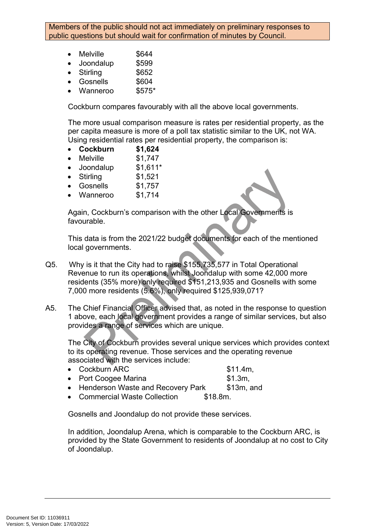- Melville \$644
- Joondalup \$599
- Stirling \$652
- Gosnells \$604
- Wanneroo \$575\*

Cockburn compares favourably with all the above local governments.

The more usual comparison measure is rates per residential property, as the per capita measure is more of a poll tax statistic similar to the UK, not WA. Using residential rates per residential property, the comparison is:

- **Cockburn \$1,624**
- Melville \$1,747
- Joondalup \$1,611\*
- $\bullet$  Stirling  $$1,521$
- Gosnells \$1,757
- Wanneroo \$1,714

Again, Cockburn's comparison with the other Local Governments is favourable.

This data is from the 2021/22 budget documents for each of the mentioned local governments.

- Q5. Why is it that the City had to raise \$155,735,577 in Total Operational Revenue to run its operations, whilst Joondalup with some 42,000 more residents (35% more) only required \$151,213,935 and Gosnells with some 7,000 more residents (5.6%), only required \$125,939,071?
- A5. The Chief Financial Officer advised that, as noted in the response to question 1 above, each local government provides a range of similar services, but also provides a range of services which are unique.

The City of Cockburn provides several unique services which provides context to its operating revenue. Those services and the operating revenue associated with the services include:

- Cockburn ARC \$11.4m,
- Port Coogee Marina **61.3m**,
- Henderson Waste and Recovery Park \$13m, and
- Commercial Waste Collection \$18.8m.

Gosnells and Joondalup do not provide these services.

In addition, Joondalup Arena, which is comparable to the Cockburn ARC, is provided by the State Government to residents of Joondalup at no cost to City of Joondalup.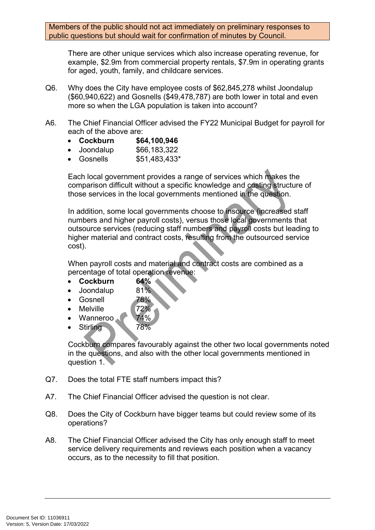There are other unique services which also increase operating revenue, for example, \$2.9m from commercial property rentals, \$7.9m in operating grants for aged, youth, family, and childcare services.

- Q6. Why does the City have employee costs of \$62,845,278 whilst Joondalup (\$60,940,622) and Gosnells (\$49,478,787) are both lower in total and even more so when the LGA population is taken into account?
- A6. The Chief Financial Officer advised the FY22 Municipal Budget for payroll for each of the above are:
	- **Cockburn \$64,100,946**
	- Joondalup \$66,183,322
	- Gosnells \$51,483,433\*

Each local government provides a range of services which makes the comparison difficult without a specific knowledge and costing structure of those services in the local governments mentioned in the question.

In addition, some local governments choose to insource (increased staff numbers and higher payroll costs), versus those local governments that outsource services (reducing staff numbers and payroll costs but leading to higher material and contract costs, resulting from the outsourced service cost).

When payroll costs and material and contract costs are combined as a percentage of total operation revenue:

- **Cockburn 64%**
- Joondalup 81%
- Gosnell 78%
- Melville 72%
- Wanneroo
- Stirling 78%

Cockburn compares favourably against the other two local governments noted in the questions, and also with the other local governments mentioned in question 1.

- Q7. Does the total FTE staff numbers impact this?
- A7. The Chief Financial Officer advised the question is not clear.
- Q8. Does the City of Cockburn have bigger teams but could review some of its operations?
- A8. The Chief Financial Officer advised the City has only enough staff to meet service delivery requirements and reviews each position when a vacancy occurs, as to the necessity to fill that position.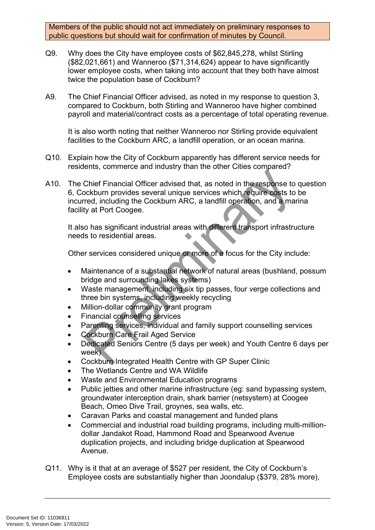- Q9. Why does the City have employee costs of \$62,845,278, whilst Stirling (\$82,021,661) and Wanneroo (\$71,314,624) appear to have significantly lower employee costs, when taking into account that they both have almost twice the population base of Cockburn?
- A9. The Chief Financial Officer advised, as noted in my response to question 3, compared to Cockburn, both Stirling and Wanneroo have higher combined payroll and material/contract costs as a percentage of total operating revenue.

It is also worth noting that neither Wanneroo nor Stirling provide equivalent facilities to the Cockburn ARC, a landfill operation, or an ocean marina.

- Q10. Explain how the City of Cockburn apparently has different service needs for residents, commerce and industry than the other Cities compared?
- A10. The Chief Financial Officer advised that, as noted in the response to question 6, Cockburn provides several unique services which require costs to be incurred, including the Cockburn ARC, a landfill operation, and a marina facility at Port Coogee.

It also has significant industrial areas with different transport infrastructure needs to residential areas.

Other services considered unique or more of a focus for the City include:

- Maintenance of a substantial network of natural areas (bushland, possum bridge and surrounding lakes systems)
- Waste management, including six tip passes, four verge collections and three bin systems, including weekly recycling
- Million-dollar community grant program
- Financial counselling services
- Parenting services, individual and family support counselling services
- Cockburn Care Frail Aged Service
- Dedicated Seniors Centre (5 days per week) and Youth Centre 6 days per week)
- Cockburn Integrated Health Centre with GP Super Clinic
- The Wetlands Centre and WA Wildlife
- Waste and Environmental Education programs
- Public jetties and other marine infrastructure (eg: sand bypassing system, groundwater interception drain, shark barrier (netsystem) at Coogee Beach, Omeo Dive Trail, groynes, sea walls, etc.
- Caravan Parks and coastal management and funded plans
- Commercial and industrial road building programs, including multi-milliondollar Jandakot Road, Hammond Road and Spearwood Avenue duplication projects, and including bridge duplication at Spearwood Avenue.
- Q11. Why is it that at an average of \$527 per resident, the City of Cockburn's Employee costs are substantially higher than Joondalup (\$379, 28% more),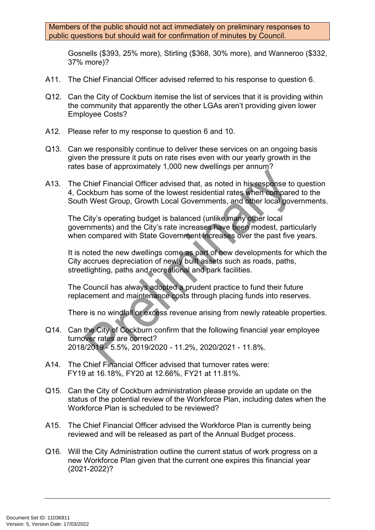Gosnells (\$393, 25% more), Stirling (\$368, 30% more), and Wanneroo (\$332, 37% more)?

- A11. The Chief Financial Officer advised referred to his response to question 6.
- Q12. Can the City of Cockburn itemise the list of services that it is providing within the community that apparently the other LGAs aren't providing given lower Employee Costs?
- A12. Please refer to my response to question 6 and 10.
- Q13. Can we responsibly continue to deliver these services on an ongoing basis given the pressure it puts on rate rises even with our yearly growth in the rates base of approximately 1,000 new dwellings per annum?
- A13. The Chief Financial Officer advised that, as noted in his response to question 4, Cockburn has some of the lowest residential rates when compared to the South West Group, Growth Local Governments, and other local governments.

The City's operating budget is balanced (unlike many other local governments) and the City's rate increases have been modest, particularly when compared with State Government increases over the past five years.

It is noted the new dwellings come as part of new developments for which the City accrues depreciation of newly built assets such as roads, paths, streetlighting, paths and recreational and park facilities.

The Council has always adopted a prudent practice to fund their future replacement and maintenance costs through placing funds into reserves.

There is no windfall or excess revenue arising from newly rateable properties.

- Q14. Can the City of Cockburn confirm that the following financial year employee turnover rates are correct? 2018/2019 - 5.5%, 2019/2020 - 11.2%, 2020/2021 - 11.8%.
- A14. The Chief Financial Officer advised that turnover rates were: FY19 at 16.18%, FY20 at 12.66%, FY21 at 11.81%.
- Q15. Can the City of Cockburn administration please provide an update on the status of the potential review of the Workforce Plan, including dates when the Workforce Plan is scheduled to be reviewed?
- A15. The Chief Financial Officer advised the Workforce Plan is currently being reviewed and will be released as part of the Annual Budget process.
- Q16. Will the City Administration outline the current status of work progress on a new Workforce Plan given that the current one expires this financial year (2021-2022)?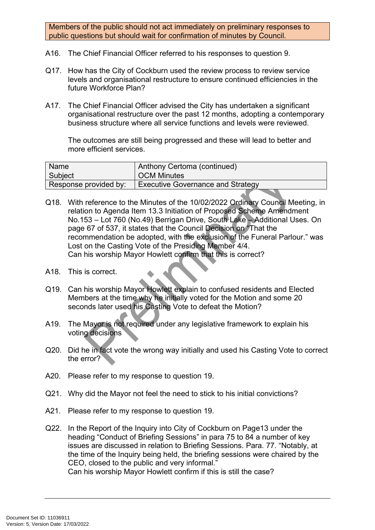- A16. The Chief Financial Officer referred to his responses to question 9.
- Q17. How has the City of Cockburn used the review process to review service levels and organisational restructure to ensure continued efficiencies in the future Workforce Plan?
- A17. The Chief Financial Officer advised the City has undertaken a significant organisational restructure over the past 12 months, adopting a contemporary business structure where all service functions and levels were reviewed.

The outcomes are still being progressed and these will lead to better and more efficient services.

| Name                  | Anthony Certoma (continued)              |
|-----------------------|------------------------------------------|
| Subject               | <b>OCM Minutes</b>                       |
| Response provided by: | <b>Executive Governance and Strategy</b> |

- Q18. With reference to the Minutes of the 10/02/2022 Ordinary Council Meeting, in relation to Agenda Item 13.3 Initiation of Proposed Scheme Amendment No.153 – Lot 760 (No.49) Berrigan Drive, South Lake – Additional Uses. On page 67 of 537, it states that the Council Decision on "That the recommendation be adopted, with the exclusion of the Funeral Parlour." was Lost on the Casting Vote of the Presiding Member 4/4. Can his worship Mayor Howlett confirm that this is correct?
- A18. This is correct.
- Q19. Can his worship Mayor Howlett explain to confused residents and Elected Members at the time why he initially voted for the Motion and some 20 seconds later used his Casting Vote to defeat the Motion?
- A19. The Mayor is not required under any legislative framework to explain his voting decisions
- Q20. Did he in fact vote the wrong way initially and used his Casting Vote to correct the error?
- A20. Please refer to my response to question 19.
- Q21. Why did the Mayor not feel the need to stick to his initial convictions?
- A21. Please refer to my response to question 19.
- Q22. In the Report of the Inquiry into City of Cockburn on Page13 under the heading "Conduct of Briefing Sessions" in para 75 to 84 a number of key issues are discussed in relation to Briefing Sessions. Para. 77. "Notably, at the time of the Inquiry being held, the briefing sessions were chaired by the CEO, closed to the public and very informal." Can his worship Mayor Howlett confirm if this is still the case?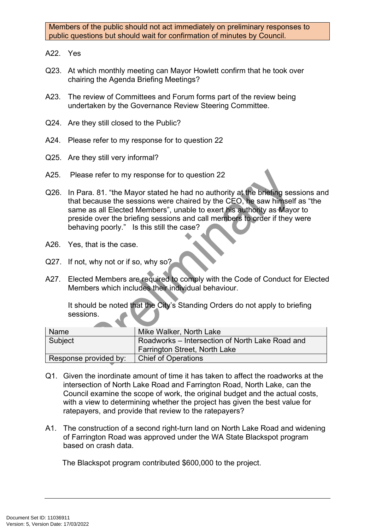- A22. Yes
- Q23. At which monthly meeting can Mayor Howlett confirm that he took over chairing the Agenda Briefing Meetings?
- A23. The review of Committees and Forum forms part of the review being undertaken by the Governance Review Steering Committee.
- Q24. Are they still closed to the Public?
- A24. Please refer to my response for to question 22
- Q25. Are they still very informal?
- A25. Please refer to my response for to question 22
- Q26. In Para. 81. "the Mayor stated he had no authority at the briefing sessions and that because the sessions were chaired by the CEO, he saw himself as "the same as all Elected Members", unable to exert his authority as Mayor to preside over the briefing sessions and call members to order if they were behaving poorly." Is this still the case?
- A26. Yes, that is the case.
- Q27. If not, why not or if so, why so?
- A27. Elected Members are required to comply with the Code of Conduct for Elected Members which includes their individual behaviour.

It should be noted that the City's Standing Orders do not apply to briefing sessions.

| Name                  | Mike Walker, North Lake                         |
|-----------------------|-------------------------------------------------|
| Subject               | Roadworks – Intersection of North Lake Road and |
|                       | <b>Farrington Street, North Lake</b>            |
| Response provided by: | <b>Chief of Operations</b>                      |

- Q1. Given the inordinate amount of time it has taken to affect the roadworks at the intersection of North Lake Road and Farrington Road, North Lake, can the Council examine the scope of work, the original budget and the actual costs, with a view to determining whether the project has given the best value for ratepayers, and provide that review to the ratepayers?
- A1. The construction of a second right-turn land on North Lake Road and widening of Farrington Road was approved under the WA State Blackspot program based on crash data.

The Blackspot program contributed \$600,000 to the project.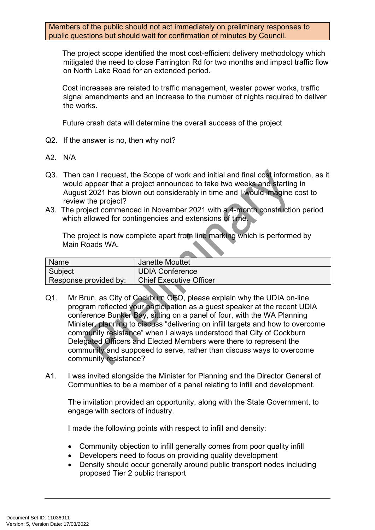The project scope identified the most cost-efficient delivery methodology which mitigated the need to close Farrington Rd for two months and impact traffic flow on North Lake Road for an extended period.

Cost increases are related to traffic management, wester power works, traffic signal amendments and an increase to the number of nights required to deliver the works.

Future crash data will determine the overall success of the project

- Q2. If the answer is no, then why not?
- A2. N/A
- Q3. Then can I request, the Scope of work and initial and final cost information, as it would appear that a project announced to take two weeks and starting in August 2021 has blown out considerably in time and I would imagine cost to review the project?
- A3. The project commenced in November 2021 with a 4-month construction period which allowed for contingencies and extensions of time.

The project is now complete apart from line marking which is performed by Main Roads WA.

| Name                  | Janette Mouttet                |
|-----------------------|--------------------------------|
| Subject               | <b>UDIA Conference</b>         |
| Response provided by: | <b>Chief Executive Officer</b> |

- Q1. Mr Brun, as City of Cockburn CEO, please explain why the UDIA on-line program reflected your participation as a guest speaker at the recent UDIA conference Bunker Bay, sitting on a panel of four, with the WA Planning Minister, planning to discuss "delivering on infill targets and how to overcome community resistance" when I always understood that City of Cockburn Delegated Officers and Elected Members were there to represent the community and supposed to serve, rather than discuss ways to overcome community resistance?
- A1. I was invited alongside the Minister for Planning and the Director General of Communities to be a member of a panel relating to infill and development.

The invitation provided an opportunity, along with the State Government, to engage with sectors of industry.

I made the following points with respect to infill and density:

- Community objection to infill generally comes from poor quality infill
- Developers need to focus on providing quality development
- Density should occur generally around public transport nodes including proposed Tier 2 public transport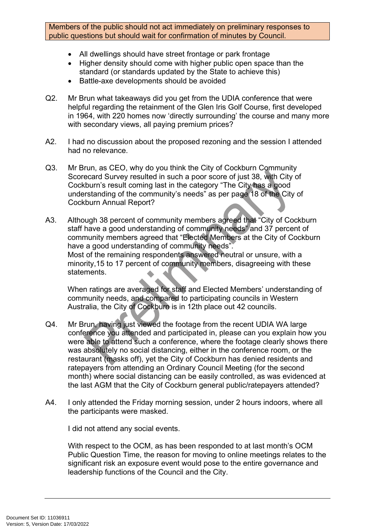- All dwellings should have street frontage or park frontage
- Higher density should come with higher public open space than the standard (or standards updated by the State to achieve this)
- Battle-axe developments should be avoided
- Q2. Mr Brun what takeaways did you get from the UDIA conference that were helpful regarding the retainment of the Glen Iris Golf Course, first developed in 1964, with 220 homes now 'directly surrounding' the course and many more with secondary views, all paying premium prices?
- A2. I had no discussion about the proposed rezoning and the session I attended had no relevance.
- Q3. Mr Brun, as CEO, why do you think the City of Cockburn Community Scorecard Survey resulted in such a poor score of just 38, with City of Cockburn's result coming last in the category "The City has a good understanding of the community's needs" as per page 18 of the City of Cockburn Annual Report?
- A3. Although 38 percent of community members agreed that "City of Cockburn staff have a good understanding of community needs" and 37 percent of community members agreed that "Elected Members at the City of Cockburn have a good understanding of community needs". Most of the remaining respondents answered neutral or unsure, with a minority,15 to 17 percent of community members, disagreeing with these statements.

When ratings are averaged for staff and Elected Members' understanding of community needs, and compared to participating councils in Western Australia, the City of Cockburn is in 12th place out 42 councils.

- Q4. Mr Brun, having just viewed the footage from the recent UDIA WA large conference you attended and participated in, please can you explain how you were able to attend such a conference, where the footage clearly shows there was absolutely no social distancing, either in the conference room, or the restaurant (masks off), yet the City of Cockburn has denied residents and ratepayers from attending an Ordinary Council Meeting (for the second month) where social distancing can be easily controlled, as was evidenced at the last AGM that the City of Cockburn general public/ratepayers attended?
- A4. I only attended the Friday morning session, under 2 hours indoors, where all the participants were masked.

I did not attend any social events.

With respect to the OCM, as has been responded to at last month's OCM Public Question Time, the reason for moving to online meetings relates to the significant risk an exposure event would pose to the entire governance and leadership functions of the Council and the City.